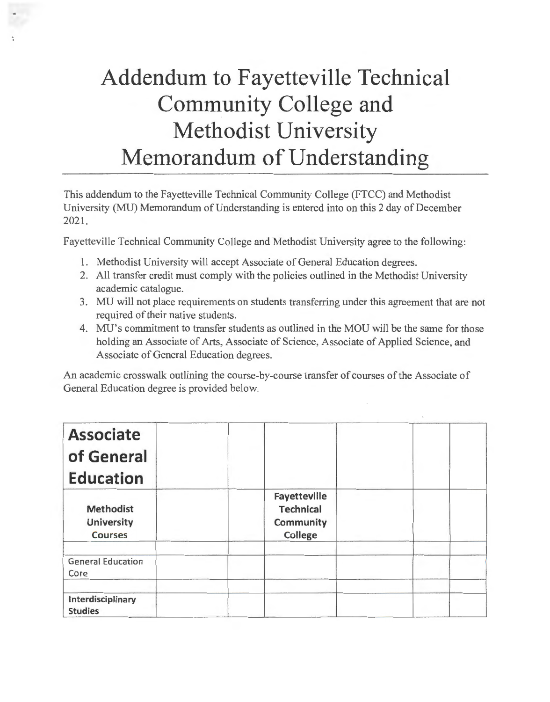## **Addendum to Fayetteville Technical Community College and Methodist University Memorandum of Understanding**

This addendum to the Fayetteville Technical Community College (FTCC) and Methodist University (MU) Memorandum of Understanding is entered into on this 2 day of December 2021.

Fayetteville Technical Community College and Methodist University agree to the following:

- 1. Methodist University will accept Associate of General Education degrees.
- 2. All transfer credit must comply with the policies outlined in the Methodist University academic catalogue.
- 3. MU will not place requirements on students transferring under this agreement that are not required of their native students.
- 4. MU's commitment to transfer students as outlined in the MOU will be the same for those holding an Associate of Arts, Associate of Science, Associate of Applied Science, and Associate of General Education degrees.

An academic crosswalk outlining the course-by-course transfer of courses of the Associate of General Education degree is provided below.

| <b>Associate</b><br>of General<br><b>Education</b>      |                                                                 |  |
|---------------------------------------------------------|-----------------------------------------------------------------|--|
| <b>Methodist</b><br><b>University</b><br><b>Courses</b> | Fayetteville<br><b>Technical</b><br><b>Community</b><br>College |  |
| <b>General Education</b><br>Core                        |                                                                 |  |
| Interdisciplinary<br><b>Studies</b>                     |                                                                 |  |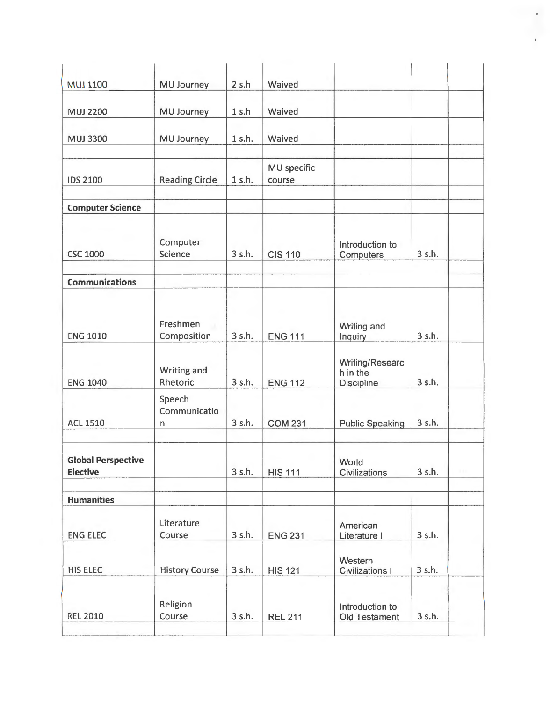| <b>REL 2010</b>                              | Religion<br>Course                | 3 s.h. | <b>REL 211</b>        | Introduction to<br>Old Testament                 | 3 s.h. |  |
|----------------------------------------------|-----------------------------------|--------|-----------------------|--------------------------------------------------|--------|--|
| <b>HIS ELEC</b>                              | <b>History Course</b>             | 3 s.h. | <b>HIS 121</b>        | Western<br><b>Civilizations I</b>                | 3 s.h. |  |
| <b>ENG ELEC</b>                              | Literature<br>Course              | 3 s.h. | <b>ENG 231</b>        | American<br>Literature I                         | 3 s.h. |  |
| <b>Humanities</b>                            |                                   |        |                       |                                                  |        |  |
| <b>Global Perspective</b><br><b>Elective</b> |                                   | 3 s.h. | <b>HIS 111</b>        | World<br>Civilizations                           | 3 s.h. |  |
| <b>ACL 1510</b>                              | Communicatio<br>n                 | 3 s.h. | <b>COM 231</b>        | <b>Public Speaking</b>                           | 3 s.h. |  |
| <b>ENG 1040</b>                              | Writing and<br>Rhetoric<br>Speech | 3 s.h. | <b>ENG 112</b>        | Writing/Researc<br>h in the<br><b>Discipline</b> | 3 s.h. |  |
| <b>ENG 1010</b>                              | Freshmen<br>Composition           | 3 s.h. | <b>ENG 111</b>        | Writing and<br>Inquiry                           | 3 s.h. |  |
| <b>Communications</b>                        |                                   |        |                       |                                                  |        |  |
| <b>CSC 1000</b>                              | Computer<br>Science               | 3 s.h. | <b>CIS 110</b>        | Introduction to<br>Computers                     | 3 s.h. |  |
| <b>Computer Science</b>                      |                                   |        |                       |                                                  |        |  |
| <b>IDS 2100</b>                              | <b>Reading Circle</b>             | 1 s.h. | MU specific<br>course |                                                  |        |  |
| <b>MUJ 3300</b>                              | MU Journey                        | 1 s.h. | Waived                |                                                  |        |  |
| <b>MUJ 2200</b>                              | MU Journey                        | 1 s.h  | Waived                |                                                  |        |  |
| <b>MUJ 1100</b>                              | <b>MU Journey</b>                 | 2 s.h  | Waived                |                                                  |        |  |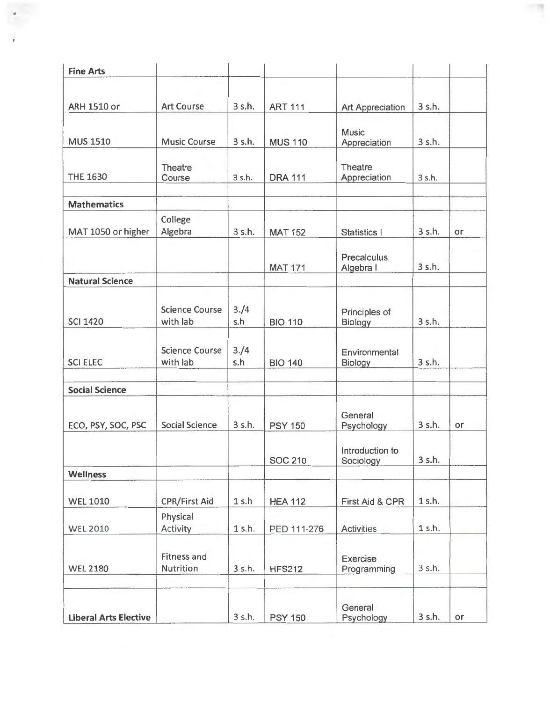| <b>Fine Arts</b>             |                                   |             |                |                              |          |    |
|------------------------------|-----------------------------------|-------------|----------------|------------------------------|----------|----|
| <b>ARH 1510 or</b>           | <b>Art Course</b>                 | 3 s.h.      | <b>ART 111</b> | Art Appreciation             | 3 s.h.   |    |
|                              |                                   |             |                |                              |          |    |
| <b>MUS 1510</b>              | <b>Music Course</b>               | 3 s.h.      | <b>MUS 110</b> | <b>Music</b><br>Appreciation | 3 s.h.   |    |
| <b>THE 1630</b>              | Theatre<br>Course                 | 3 s.h.      | <b>DRA 111</b> | Theatre<br>Appreciation      | 3 s.h.   |    |
| <b>Mathematics</b>           |                                   |             |                |                              |          |    |
| MAT 1050 or higher           | College<br>Algebra                | 3 s.h.      | <b>MAT 152</b> | Statistics                   | 3 s.h.   | or |
|                              |                                   |             | <b>MAT 171</b> | Precalculus<br>Algebra I     | 3 s.h.   |    |
| <b>Natural Science</b>       |                                   |             |                |                              |          |    |
| <b>SCI 1420</b>              | <b>Science Course</b><br>with lab | 3./4<br>s.h | <b>BIO 110</b> | Principles of<br>Biology     | 3 s.h.   |    |
| <b>SCI ELEC</b>              | <b>Science Course</b><br>with lab | 3./4<br>s.h | <b>BIO 140</b> | Environmental<br>Biology     | 3 s.h.   |    |
| <b>Social Science</b>        |                                   |             |                |                              |          |    |
| ECO, PSY, SOC, PSC           | <b>Social Science</b>             | 3 s.h.      | <b>PSY 150</b> | General<br>Psychology        | 3 s.h.   | or |
|                              |                                   |             | <b>SOC 210</b> | Introduction to<br>Sociology | 3 s.h.   |    |
| <b>Wellness</b>              |                                   |             |                |                              |          |    |
| <b>WEL 1010</b>              | <b>CPR/First Aid</b>              | 1 s.h       | <b>HEA 112</b> | First Aid & CPR              | 1 s.h.   |    |
| <b>WEL 2010</b>              | Physical<br>Activity              | 1 s.h.      | PED 111-276    | <b>Activities</b>            | $1$ s.h. |    |
| <b>WEL 2180</b>              | Fitness and<br>Nutrition          | $3$ s.h.    | <b>HFS212</b>  | Exercise<br>Programming      | 3 s.h.   |    |
| <b>Liberal Arts Elective</b> |                                   | 3sh         | <b>PSY 150</b> | General<br>Psychology        | 3 s.h.   | or |

ÿ

 $\overline{\mathcal{A}}$